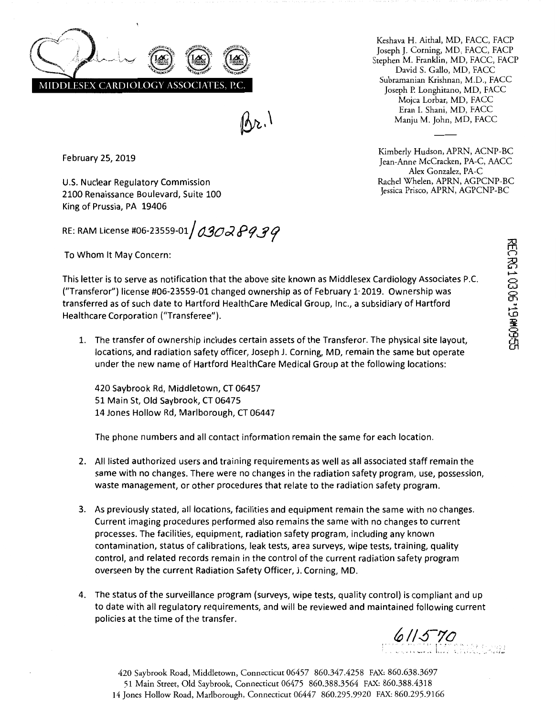

 $(\lambda_{\mathcal{V}})$ 

Keshava H. Aithal, MD, FACC, FACP Joseph J. Corning, MD, FACC, FACP Stephen M. Franklin, MD, FACC, FACP David S. Gallo, MD, FACC Subramanian Krishnan, M.D., FACC Joseph P. Longhitano, MD, FACC Mojca Lorbar, MD, FACC Eran I. Shani, MD, FACC Manju M. John, MD, FACC

Kimberly Hudson, APRN, ACNP-BC Jean-Anne McCracken, PA-C, AACC Alex Gonzalez, PA-C Rachel Whelen, APRN, AGPCNP-BC Jessica Prisco, APRN, AGPCNP-BC

February 25, 2019

U.S. Nuclear Regulatory Commission 2100 Renaissance Boulevard, Suite 100 King of Prussia, PA 19406

RE: RAM License #06-23559-01  $/$  0302  $P9$   $9$ 

To Whom It May Concern:

This letter is to serve as notification that the above site known as Middlesex Cardiology Associates P.C. ("Transferor") license #06-23559-01 changed ownership as of February 1· 2019. Ownership was transferred as of such date to Hartford HealthCare Medical Group, Inc., a subsidiary of Hartford Healthcare Corporation ("Transferee").

1. The transfer of ownership includes certain assets of the Transferor. The physical site layout, locations, and radiation safety officer, Joseph J. Corning, MD, remain the same but operate under the new name of Hartford HealthCare Medical Group at the following locations:

420 Saybrook Rd, Middletown, CT 06457 51 Main St, Old Saybrook, CT 06475 14 Jones Hollow Rd, Marlborough, CT 06447

The phone numbers and all contact information remain the same for each location.

- 2. All listed authorized users and training requirements as well as all associated staff remain the same with no changes. There were no changes in the radiation safety program, use, possession, waste management, or other procedures that relate to the radiation safety program.
- 3. As previously stated, all locations, facilities and equipment remain the same with no changes. Current imaging procedures performed also remains the same with no changes to current processes. The facilities, equipment, radiation safety program, including any known contamination, status of calibrations, leak tests, area surveys, wipe tests, training, quality control, and related records remain in the control of the current radiation safety program overseen by the current Radiation Safety Officer, J. Corning, MD.
- 4. The status of the surveillance program (surveys, wipe tests, quality control) is compliant and up to date with all regulatory requirements, and will be reviewed and maintained following current policies at the time of the transfer.

 $611570$ 

420 Saybrook Road, Middletown, Connecticut 06457 860.347.4258 FAX: 860.638.3697 51 Main Street, Old Saybrook, Connecticut 06475 860.388.3564 FAX: 860.388.4318 14 Jones Hollow Road, Marlborough, Connecticut 06447 860.295.9920 FAX: 860.295.9166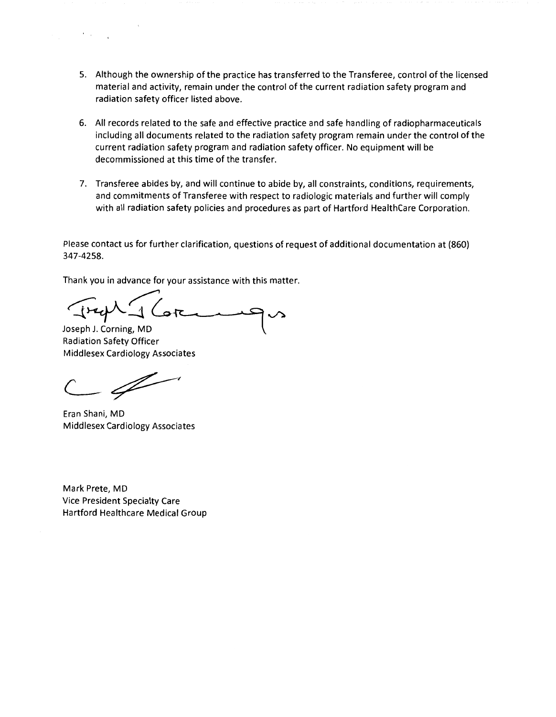- 5. Although the ownership of the practice has transferred to the Transferee, control of the licensed material and activity, remain under the control of the current radiation safety program and radiation safety officer listed above.
- 6. All records related to the safe and effective practice and safe handling of radiopharmaceuticals including all documents related to the radiation safety program remain under the control of the current radiation safety program and radiation safety officer. No equipment will be decommissioned at this time of the transfer.
- 7. Transferee abides by, and will continue to abide by, all constraints, conditions, requirements, and commitments of Transferee with respect to radiologic materials and further will comply with all radiation safety policies and procedures as part of Hartford HealthCare Corporation.

Please contact us for further clarification, questions of request of additional documentation at (860) 347-4258.

Thank you in advance for your assistance with this matter.

 $\sqrt{2-\psi^2}$ Joseph J. Corning, MD

Radiation Safety Officer Middlesex Cardiology Associates

 $\mathscr{I}$ 

 $\mathcal{F}=\mathcal{F}$  .

Eran Shani, MD Middlesex Cardiology Associates

Mark Prete, MD Vice President Specialty Care Hartford Healthcare Medical Group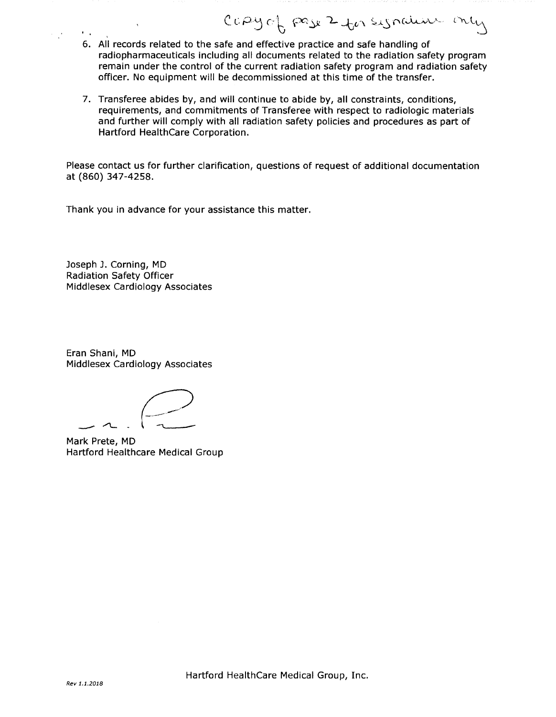6. All records related to the safe and effective practice and safe handling of radiopharmaceuticals including all documents related to the radiation safety program remain under the control of the current radiation safety program and radiation safety officer. No equipment will be decommissioned at this time of the transfer.

CCPY of pase 2 for synalism only

7. Transferee abides by, and will continue to abide by, all constraints, conditions, requirements, and commitments of Transferee with respect to radiologic materials and further will comply with all radiation safety policies and procedures as part of Hartford HealthCare Corporation.

Please contact us for further clarification, questions of request of additional documentation at (860) 347-4258.

Thank you in advance for your assistance this matter.

Joseph J. Corning, MD Radiation Safety Officer Middlesex Cardiology Associates

Eran Shani, MD Middlesex Cardiology Associates

 $\sim$   $-$ 

Mark Prete, MD Hartford Healthcare Medical Group